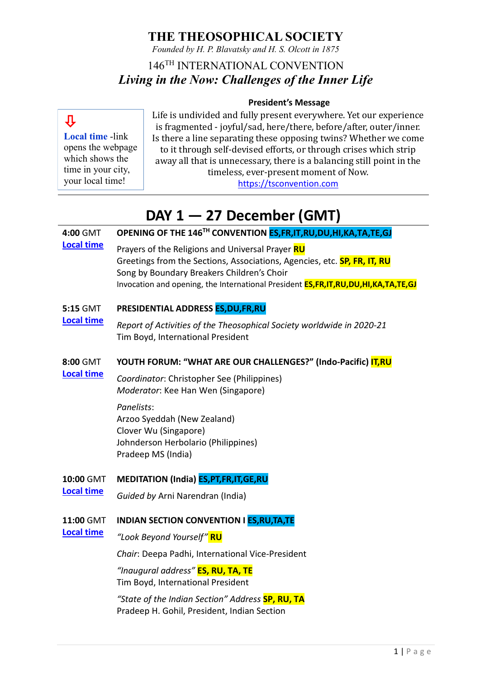*Founded by H. P. Blavatsky and H. S. Olcott in 1875*

## 146TH INTERNATIONAL CONVENTION *Living in the Now: Challenges of the Inner Life*

### **President's Message**

## Л

**Local time** -link opens the webpage which shows the time in your city, your local time!

**[Local](https://www.timeanddate.com/worldclock/fixedtime.html?msg=Opening+of+the+146th+International+Convention&iso=20211227T04&p1=1440&ah=2&am=15) time**

**[Local time](https://www.timeanddate.com/worldclock/fixedtime.html?msg=Youth+Forum+-+Indo-Pacific&iso=20211227T08&p1=1440&ah=2)**

**[Local time](https://www.timeanddate.com/worldclock/fixedtime.html?msg=Indian+Convention&iso=20211227T11&p1=1440&ah=1&am=40)**

Life is undivided and fully present everywhere. Yet our experience is fragmented - joyful/sad, here/there, before/after, outer/inner. Is there a line separating these opposing twins? Whether we come to it through self-devised efforts, or through crises which strip away all that is unnecessary, there is a balancing still point in the timeless, ever-present moment of Now.

[https://tsconvention.com](https://tsconvention.com/)

# **DAY 1 — 27 December (GMT)**

#### **4:00** GMT **OPENING OF THE 146TH CONVENTION ES,FR,IT,RU,DU,HI,KA,TA,TE,GJ**

Prayers of the Religions and Universal Prayer **RU** Greetings from the Sections, Associations, Agencies, etc. **SP, FR, IT, RU** Song by Boundary Breakers Children's Choir Invocation and opening, the International President **ES,FR,IT,RU,DU,HI,KA,TA,TE,GJ**

#### **5:15** GMT **PRESIDENTIAL ADDRESS ES,DU,FR,RU**

**[Local](https://www.timeanddate.com/worldclock/fixedtime.html?msg=Presidential+Address&iso=20211227T0515&p1=1440&ah=1) time** *Report of Activities of the Theosophical Society worldwide in 2020-21* Tim Boyd, International President

#### **8:00** GMT **YOUTH FORUM: "WHAT ARE OUR CHALLENGES?" (Indo-Pacific) IT,RU**

*Coordinator*: Christopher See (Philippines) *Moderator*: Kee Han Wen (Singapore)

### *Panelists*:

Arzoo Syeddah (New Zealand) Clover Wu (Singapore) Johnderson Herbolario (Philippines) Pradeep MS (India)

#### **10:00** GMT **MEDITATION (India) ES,PT,FR,IT,GE,RU**

**[Local time](https://www.timeanddate.com/worldclock/fixedtime.html?msg=Meditation&iso=20211227T10&p1=1440&am=30)** *Guided by* Arni Narendran (India)

#### **11:00** GMT **INDIAN SECTION CONVENTION I ES,RU,TA,TE**

*"Look Beyond Yourself"* **RU**

*Chair*: Deepa Padhi, International Vice-President

*"Inaugural address"* **ES, RU, TA, TE** Tim Boyd, International President

*"State of the Indian Section" Address* **SP, RU, TA** Pradeep H. Gohil, President, Indian Section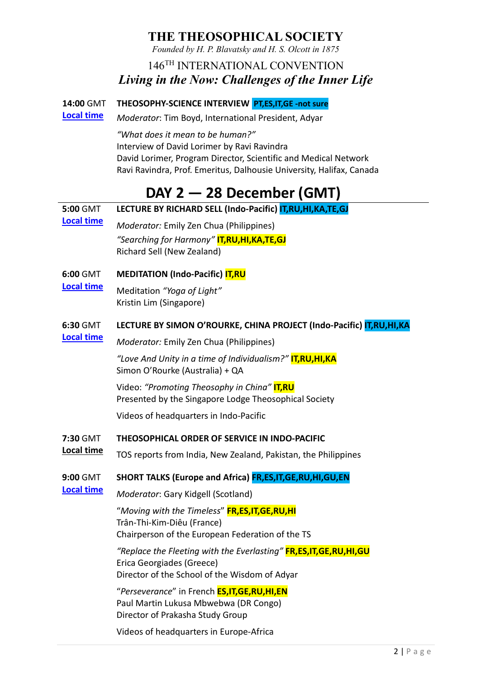*Founded by H. P. Blavatsky and H. S. Olcott in 1875*

## 146TH INTERNATIONAL CONVENTION *Living in the Now: Challenges of the Inner Life*

#### **14:00** GMT **THEOSOPHY-SCIENCE INTERVIEW PT,ES,IT,GE -not sure**

**[Local time](https://www.timeanddate.com/worldclock/fixedtime.html?msg=Theosophy-Science+Interview&iso=20211227T14&p1=1440&ah=1&am=30)** *Moderator*: Tim Boyd, International President, Adyar

> *"What does it mean to be human?"* Interview of David Lorimer by Ravi Ravindra David Lorimer, Program Director, Scientific and Medical Network Ravi Ravindra, Prof. Emeritus, Dalhousie University, Halifax, Canada

# **DAY 2 — 28 December (GMT)**

| 5:00 GMT                      | LECTURE BY RICHARD SELL (Indo-Pacific) IT, RU, HI, KA, TE, GJ                                                                                         |
|-------------------------------|-------------------------------------------------------------------------------------------------------------------------------------------------------|
| <b>Local time</b>             | Moderator: Emily Zen Chua (Philippines)                                                                                                               |
|                               | "Searching for Harmony" <b>IT,RU,HI,KA,TE,GJ</b><br>Richard Sell (New Zealand)                                                                        |
| 6:00 GMT<br><b>Local time</b> | <b>MEDITATION (Indo-Pacific) IT,RU</b>                                                                                                                |
|                               | Meditation "Yoga of Light"<br>Kristin Lim (Singapore)                                                                                                 |
| 6:30 GMT<br><b>Local time</b> | LECTURE BY SIMON O'ROURKE, CHINA PROJECT (Indo-Pacific) IT, RU, HI, KA                                                                                |
|                               | Moderator: Emily Zen Chua (Philippines)                                                                                                               |
|                               | "Love And Unity in a time of Individualism?" <b>IT,RU,HI,KA</b><br>Simon O'Rourke (Australia) + QA                                                    |
|                               | Video: "Promoting Theosophy in China" <b>IT,RU</b><br>Presented by the Singapore Lodge Theosophical Society                                           |
|                               | Videos of headquarters in Indo-Pacific                                                                                                                |
| 7:30 GMT<br>Local time        | THEOSOPHICAL ORDER OF SERVICE IN INDO-PACIFIC                                                                                                         |
|                               | TOS reports from India, New Zealand, Pakistan, the Philippines                                                                                        |
| 9:00 GMT<br><b>Local time</b> | SHORT TALKS (Europe and Africa) FR, ES, IT, GE, RU, HI, GU, EN                                                                                        |
|                               | Moderator: Gary Kidgell (Scotland)                                                                                                                    |
|                               | "Moving with the Timeless" <b>FR,ES,IT,GE,RU,HI</b><br>Trân-Thi-Kim-Diêu (France)<br>Chairperson of the European Federation of the TS                 |
|                               | "Replace the Fleeting with the Everlasting" <b>FR,ES,IT,GE,RU,HI,GU</b><br>Erica Georgiades (Greece)<br>Director of the School of the Wisdom of Adyar |
|                               | "Perseverance" in French <b>ES,IT,GE,RU,HI,EN</b><br>Paul Martin Lukusa Mbwebwa (DR Congo)<br>Director of Prakasha Study Group                        |
|                               | Videos of headquarters in Europe-Africa                                                                                                               |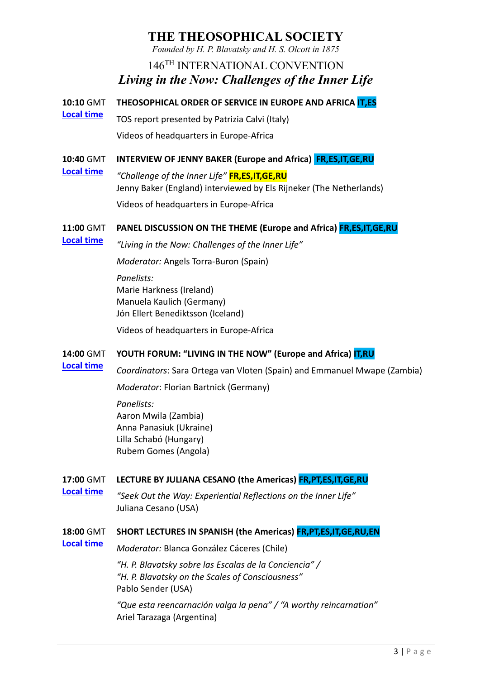*Founded by H. P. Blavatsky and H. S. Olcott in 1875*

## 146TH INTERNATIONAL CONVENTION *Living in the Now: Challenges of the Inner Life*

**10:10** GMT **THEOSOPHICAL ORDER OF SERVICE IN EUROPE AND AFRICA IT,ES**

**[Local time](https://www.timeanddate.com/worldclock/fixedtime.html?msg=TOS+-+Europe%26Africa&iso=20211228T1010&p1=1440&am=30)** TOS report presented by Patrizia Calvi (Italy) Videos of headquarters in Europe-Africa

#### **10:40** GMT **INTERVIEW OF JENNY BAKER (Europe and Africa) FR,ES,IT,GE,RU**

*"Challenge of the Inner Life"* **FR,ES,IT,GE,RU** Jenny Baker (England) interviewed by Els Rijneker (The Netherlands) Videos of headquarters in Europe-Africa

#### **11:00** GMT **PANEL DISCUSSION ON THE THEME (Europe and Africa) FR,ES,IT,GE,RU**

**[Local time](https://www.timeanddate.com/worldclock/fixedtime.html?msg=Panel+-+Europe%26Africa&iso=20211228T11&p1=1440&ah=1)**

**[Local time](https://www.timeanddate.com/worldclock/fixedtime.html?msg=Interview+-+Europe%26Africa&iso=20211228T1040&p1=1440&am=20)**

*"Living in the Now: Challenges of the Inner Life"*

*Moderator:* Angels Torra-Buron (Spain)

*Panelists:* Marie Harkness (Ireland) Manuela Kaulich (Germany) Jón Ellert Benediktsson (Iceland)

Videos of headquarters in Europe-Africa

#### **14:00** GMT **YOUTH FORUM: "LIVING IN THE NOW" (Europe and Africa) IT,RU**

*Coordinators*: Sara Ortega van Vloten (Spain) and Emmanuel Mwape (Zambia)

*Moderator*: Florian Bartnick (Germany)

*Panelists:* Aaron Mwila (Zambia) Anna Panasiuk (Ukraine) Lilla Schabó (Hungary) Rubem Gomes (Angola)

#### **17:00** GMT **LECTURE BY JULIANA CESANO (the Americas) FR,PT,ES,IT,GE,RU**

**[Local time](https://www.timeanddate.com/worldclock/fixedtime.html?msg=Lecture+-+the+America&iso=20211228T17&p1=1440&ah=1)**

**[Local time](https://www.timeanddate.com/worldclock/fixedtime.html?msg=Youth+Forum+-+Europe%26Africa&iso=20211228T14&p1=1440&ah=2&am=15)**

*"Seek Out the Way: Experiential Reflections on the Inner Life"* Juliana Cesano (USA)

#### **18:00** GMT **SHORT LECTURES IN SPANISH (the Americas) FR,PT,ES,IT,GE,RU,EN**

**[Local time](https://www.timeanddate.com/worldclock/fixedtime.html?msg=Short+Lectures+-+the+Americas&iso=20211228T18&p1=1440&ah=1)**

*Moderator:* Blanca González Cáceres (Chile)

*"H. P. Blavatsky sobre las Escalas de la Conciencia" / "H. P. Blavatsky on the Scales of Consciousness"* Pablo Sender (USA)

*"Que esta reencarnación valga la pena" / "A worthy reincarnation"* Ariel Tarazaga (Argentina)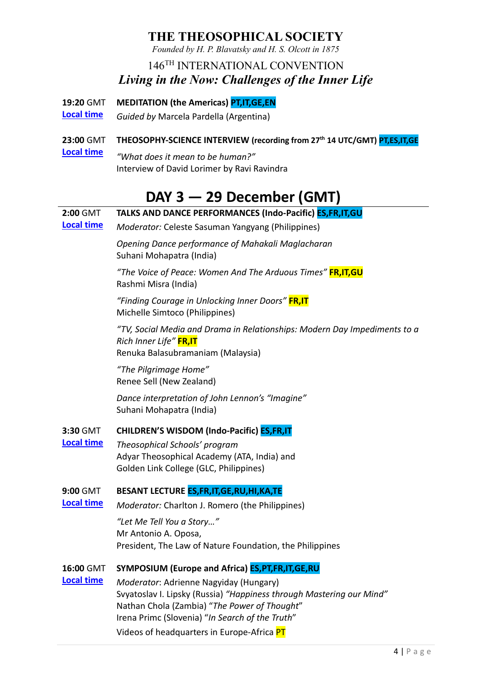*Founded by H. P. Blavatsky and H. S. Olcott in 1875*

## 146TH INTERNATIONAL CONVENTION *Living in the Now: Challenges of the Inner Life*

- **19:20** GMT **MEDITATION (the Americas) PT,IT,GE,EN**
- **[Local time](https://www.timeanddate.com/worldclock/fixedtime.html?msg=Meditation+-+the+Americas&iso=20211228T1920&p1=1440&am=30)** *Guided by* Marcela Pardella (Argentina)

#### **23:00** GMT **THEOSOPHY-SCIENCE INTERVIEW (recording from 27th 14 UTC/GMT) PT,ES,IT,GE**

**[Local time](https://www.timeanddate.com/worldclock/fixedtime.html?msg=Theosophy-Science+Interview&iso=20211228T23&p1=1440&ah=1&am=30)** *"What does it mean to be human?"* Interview of David Lorimer by Ravi Ravindra

## **DAY 3 — 29 December (GMT)**

#### **2:00** GMT **[Local time](https://www.timeanddate.com/worldclock/fixedtime.html?msg=Talks+-+Indo-Pacific&iso=20211229T02&p1=1440&ah=1&am=30) TALKS AND DANCE PERFORMANCES (Indo-Pacific) ES,FR,IT,GU** *Moderator:* Celeste Sasuman Yangyang (Philippines)

*Opening Dance performance of Mahakali Maglacharan* Suhani Mohapatra (India)

*"The Voice of Peace: Women And The Arduous Times"* **FR,IT,GU** Rashmi Misra (India)

*"Finding Courage in Unlocking Inner Doors"* **FR,IT** Michelle Simtoco (Philippines)

*"TV, Social Media and Drama in Relationships: Modern Day Impediments to a Rich Inner Life"* **FR,IT** Renuka Balasubramaniam (Malaysia)

*"The Pilgrimage Home"* Renee Sell (New Zealand)

*Dance interpretation of John Lennon's "Imagine"* Suhani Mohapatra (India)

#### **3:30** GMT **CHILDREN'S WISDOM (Indo-Pacific) ES,FR,IT**

**[Local time](https://www.timeanddate.com/worldclock/fixedtime.html?msg=Schools+and+dance+-+Indo-Pacific&iso=20211229T0330&p1=1440&am=40)** *Theosophical Schools' program* Adyar Theosophical Academy (ATA, India) and Golden Link College (GLC, Philippines)

#### **9:00** GMT **BESANT LECTURE ES,FR,IT,GE,RU,HI,KA,TE**

**[Local time](https://www.timeanddate.com/worldclock/fixedtime.html?msg=Besant+Lecture&iso=20211229T09&p1=1440&ah=1)** *Moderator:* Charlton J. Romero (the Philippines)

> *"Let Me Tell You a Story…"* Mr Antonio A. Oposa, President, The Law of Nature Foundation, the Philippines

#### **16:00** GMT **SYMPOSIUM (Europe and Africa) ES,PT,FR,IT,GE,RU**

**[Local time](https://www.timeanddate.com/worldclock/fixedtime.html?msg=Symposium+-+Europe%26Africa&iso=20211229T16&p1=1440&am=45)** *Moderator*: Adrienne Nagyiday (Hungary) Svyatoslav I. Lipsky (Russia) *"Happiness through Mastering our Mind"* Nathan Chola (Zambia) "*The Power of Thought*" Irena Primc (Slovenia) "*In Search of the Truth*" Videos of headquarters in Europe-Africa PT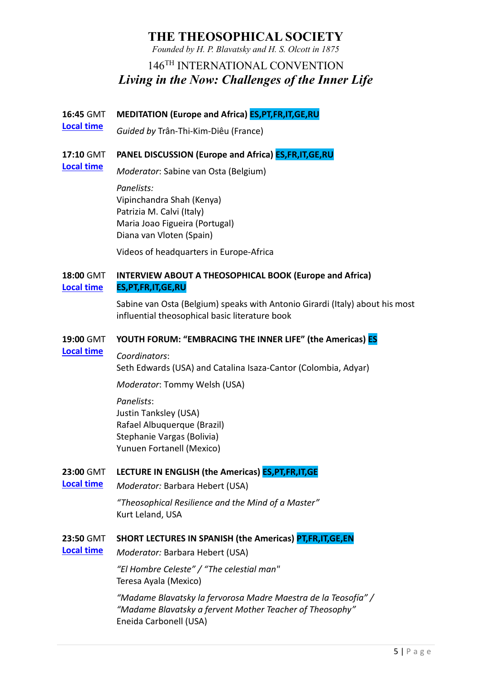*Founded by H. P. Blavatsky and H. S. Olcott in 1875*

### 146TH INTERNATIONAL CONVENTION *Living in the Now: Challenges of the Inner Life*

**16:45** GMT **MEDITATION (Europe and Africa) ES,PT,FR,IT,GE,RU**

**[Local time](https://www.timeanddate.com/worldclock/fixedtime.html?msg=Meditation+-+Europe%26Africa&iso=20211229T1645&p1=1440&am=25)** *Guided by* Trân-Thi-Kim-Diêu (France)

#### **17:10** GMT **PANEL DISCUSSION (Europe and Africa) ES,FR,IT,GE,RU**

*Moderator*: Sabine van Osta (Belgium)

*Panelists:* Vipinchandra Shah (Kenya) Patrizia M. Calvi (Italy) Maria Joao Figueira (Portugal) Diana van Vloten (Spain)

Videos of headquarters in Europe-Africa

#### **18:00** GMT **[Local time](https://www.timeanddate.com/worldclock/fixedtime.html?msg=Book+Interview+-+Europe%26Africa&iso=20211229T18&p1=1440&am=15) INTERVIEW ABOUT A THEOSOPHICAL BOOK (Europe and Africa) ES,PT,FR,IT,GE,RU**

Sabine van Osta (Belgium) speaks with Antonio Girardi (Italy) about his most influential theosophical basic literature book

#### **19:00** GMT **YOUTH FORUM: "EMBRACING THE INNER LIFE" (the Americas) ES**

#### **[Local time](https://www.timeanddate.com/worldclock/fixedtime.html?msg=Youth+Forum+-+the+Americas&iso=20211229T19&p1=1440&ah=2)** *Coordinators*:

**[Local time](https://www.timeanddate.com/worldclock/fixedtime.html?msg=Panel+-+Europe%26Africa&iso=20211229T1710&p1=1440&am=40)**

Seth Edwards (USA) and Catalina Isaza-Cantor (Colombia, Adyar)

*Moderator*: Tommy Welsh (USA)

### *Panelists*:

Justin Tanksley (USA) Rafael Albuquerque (Brazil) Stephanie Vargas (Bolivia) Yunuen Fortanell (Mexico)

#### **23:00** GMT **LECTURE IN ENGLISH (the Americas) ES,PT,FR,IT,GE**

**[Local time](https://www.timeanddate.com/worldclock/fixedtime.html?msg=Lecture+-+the+Americas&iso=20211229T23&p1=1440&am=50)** *Moderator:* Barbara Hebert (USA)

> *"Theosophical Resilience and the Mind of a Master"* Kurt Leland, USA

#### **23:50** GMT **SHORT LECTURES IN SPANISH (the Americas) PT,FR,IT,GE,EN**

**[Local time](https://www.timeanddate.com/worldclock/fixedtime.html?msg=Short+Lectures+-+the+Americas&iso=20211229T2350&p1=1440&ah=1)** *Moderator:* Barbara Hebert (USA)

> *"El Hombre Celeste" / "The celestial man"* Teresa Ayala (Mexico)

*"Madame Blavatsky la fervorosa Madre Maestra de la Teosofía" / "Madame Blavatsky a fervent Mother Teacher of Theosophy"* Eneida Carbonell (USA)